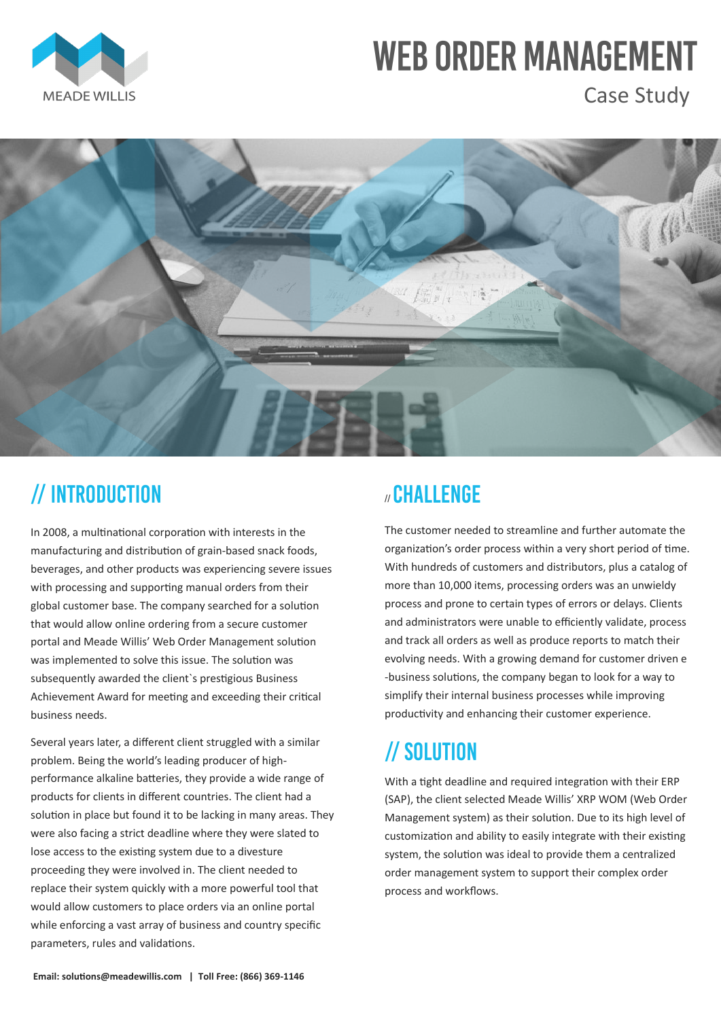In 2008, a multinational corporation with interests in the manufacturing and distribution of grain-based snack foods, beverages, and other products was experiencing severe issues with processing and supporting manual orders from their global customer base. The company searched for a solution that would allow online ordering from a secure customer portal and Meade Willis' Web Order Management solution was implemented to solve this issue. The solution was subsequently awarded the client`s prestigious Business Achievement Award for meeting and exceeding their critical business needs.

Several years later, a different client struggled with a similar problem. Being the world's leading producer of high-

#### *I* CHALLENGE

performance alkaline batteries, they provide a wide range of products for clients in different countries. The client had a solution in place but found it to be lacking in many areas. They were also facing a strict deadline where they were slated to lose access to the existing system due to a divesture proceeding they were involved in. The client needed to replace their system quickly with a more powerful tool that would allow customers to place orders via an online portal while enforcing a vast array of business and country specific parameters, rules and validations.

The customer needed to streamline and further automate the organization's order process within a very short period of time. With hundreds of customers and distributors, plus a catalog of more than 10,000 items, processing orders was an unwieldy process and prone to certain types of errors or delays. Clients and administrators were unable to efficiently validate, process and track all orders as well as produce reports to match their evolving needs. With a growing demand for customer driven e -business solutions, the company began to look for a way to simplify their internal business processes while improving productivity and enhancing their customer experience.

### // SOLUTION

With a tight deadline and required integration with their ERP (SAP), the client selected Meade Willis' XRP WOM (Web Order Management system) as their solution. Due to its high level of customization and ability to easily integrate with their existing system, the solution was ideal to provide them a centralized order management system to support their complex order process and workflows.

# **WEB ORDER MANAGEMENT**



Case Study



## // INTRODUCTION

**Email: solutions@meadewillis.com | Toll Free: (866) 369-1146**